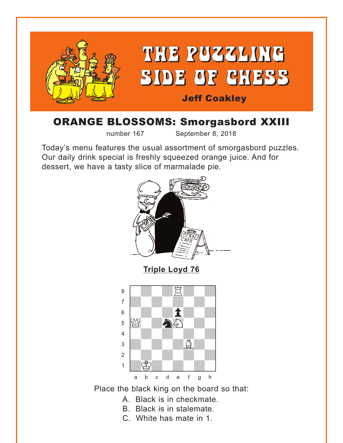<span id="page-0-0"></span>

# ORANGE BLOSSOMS: Smorgasbord XXIII

number 167 September 8, 2018

Today's menu features the usual assortment of smorgasbord puzzles. Our daily drink special is freshly squeezed orange juice. And for dessert, we have a tasty slice of marmalade pie.



Place the black king on the board so that:

- A. Black is in checkmate.
- B. Black is in stalemate.
- C. White has mate in 1.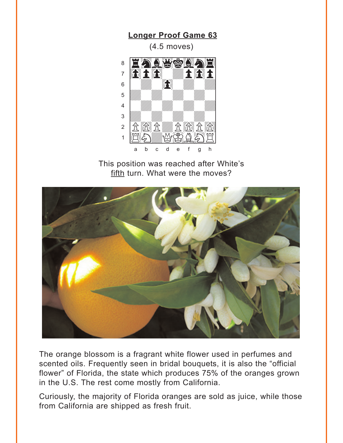**Longer Proof Game 63** 

 $(4.5$  moves)

<span id="page-1-0"></span>

This position was reached after White's fifth turn. What were the moves?



The orange blossom is a fragrant white flower used in perfumes and scented oils. Frequently seen in bridal bouquets, it is also the "official flower" of Florida, the state which produces 75% of the oranges grown in the U.S. The rest come mostly from California.

Curiously, the majority of Florida oranges are sold as juice, while those from California are shipped as fresh fruit.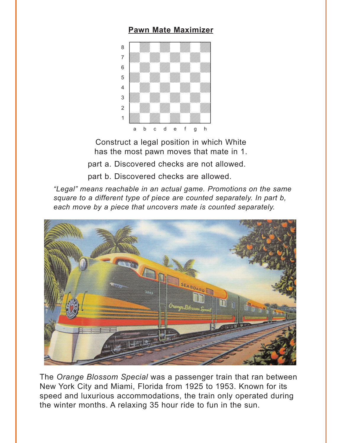#### **[Pawn Mate Maximizer](#page-5-0)**

<span id="page-2-0"></span>

Construct a legal position in which White has the most pawn moves that mate in 1.

part a. Discovered checks are not allowed.

part b. Discovered checks are allowed.

*"Legal" means reachable in an actual game. Promotions on the same square to a different type of piece are counted separately. In part b, each move by a piece that uncovers mate is counted separately.*



The *Orange Blossom Special* was a passenger train that ran between New York City and Miami, Florida from 1925 to 1953. Known for its speed and luxurious accommodations, the train only operated during the winter months. A relaxing 35 hour ride to fun in the sun.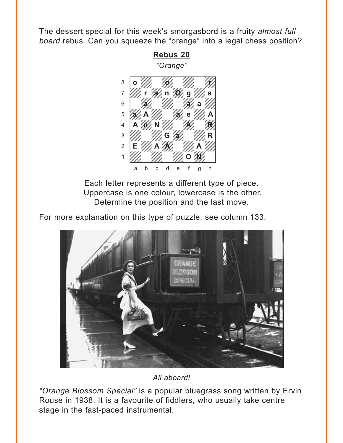<span id="page-3-0"></span>The dessert special for this week's smorgasbord is a fruity *almost full board* rebus. Can you squeeze the "orange" into a legal chess position?



Each letter represents a different type of piece. Uppercase is one colour, lowercase is the other. Determine the position and the last move.

For more explanation on this type of puzzle, see column 133.



*All aboard!*

*"Orange Blossom Special"* is a popular bluegrass song written by Ervin Rouse in 1938. It is a favourite of fiddlers, who usually take centre stage in the fast-paced instrumental.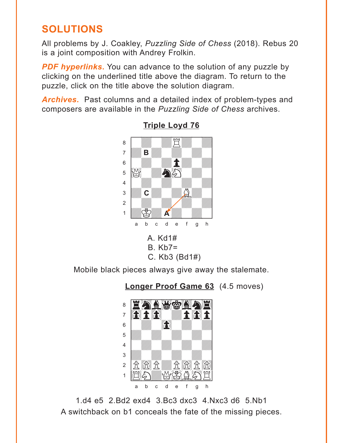# <span id="page-4-0"></span>**SOLUTIONS**

All problems by J. Coakley, Puzzling Side of Chess (2018). Rebus 20 is a joint composition with Andrey Frolkin.

**PDF hyperlinks.** You can advance to the solution of any puzzle by clicking on the underlined title above the diagram. To return to the puzzle, click on the title above the solution diagram.

**Archives.** Past columns and a detailed index of problem-types and composers are available in the Puzzling Side of Chess archives.



**Triple Loyd 76** 

 $A.$  Kd1#  $B$ .  $Kb7=$ C. Kb3 (Bd1#)

Mobile black pieces always give away the stalemate.

**Longer Proof Game 63** (4.5 moves)



1.d4 e5 2.Bd2 exd4 3.Bc3 dxc3 4.Nxc3 d6 5.Nb1 A switchback on b1 conceals the fate of the missing pieces.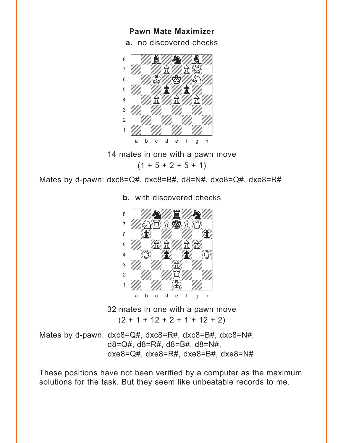#### **Pawn Mate Maximizer**

a. no discovered checks

<span id="page-5-0"></span>

14 mates in one with a pawn move

 $(1 + 5 + 2 + 5 + 1)$ 

Mates by d-pawn: dxc8=Q#, dxc8=B#, d8=N#, dxe8=Q#, dxe8=R#



**b.** with discovered checks

32 mates in one with a pawn move  $(2 + 1 + 12 + 2 + 1 + 12 + 2)$ 

Mates by d-pawn: dxc8=Q#, dxc8=R#, dxc8=B#, dxc8=N#,  $d8 = Q#$ ,  $d8 = R#$ ,  $d8 = B#$ ,  $d8 = N#$ ,  $dxe8=Q\#$ ,  $dxe8=R\#$ ,  $dxe8=B\#$ ,  $dxe8=N\#$ 

These positions have not been verified by a computer as the maximum solutions for the task. But they seem like unbeatable records to me.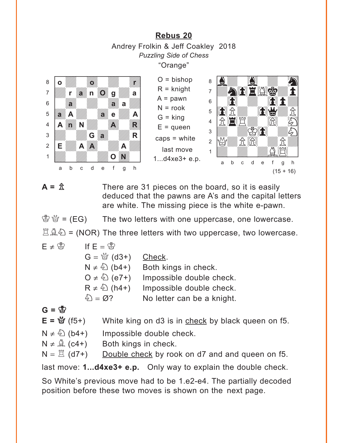#### **[Rebus 20](#page-3-0)** Andrey Frolkin & Jeff Coakley 2018 *Puzzling Side of Chess* "Orange"

<span id="page-6-0"></span>



 $A = \hat{\mathbb{Z}}$  There are 31 pieces on the board, so it is easily deduced that the pawns are A's and the capital letters are white. The missing piece is the white e-pawn.

 $\mathcal{B} \mathcal{B} = (EG)$  The two letters with one uppercase, one lowercase.

 $\mathbb{Z} \mathbb{A} \mathbb{Z} = (NOR)$  The three letters with two uppercase, two lowercase.

 $E \neq \overset{\circ}{\otimes}$  If  $E = \overset{\circ}{\otimes}$  $G = \frac{M}{Q}$  (d3+) Check.  $N \neq \hat{\mathbb{Q}}$  (b4+) Both kings in check.  $O \neq \hat{O}$  (e7+) Impossible double check.  $R \neq \hat{\mathbb{Q}}$  (h4+) Impossible double check.  $\mathcal{L} = \emptyset$ ? No letter can be a knight.

$$
G = \mathfrak{B}
$$

 $E = \frac{M}{Q}$  (f5+) White king on d3 is in check by black queen on f5.

- $N \neq \hat{\mathbb{Q}}$  (b4+) Impossible double check.
- $N \neq \hat{A}$  (c4+) Both kings in check.

 $N = \mathbb{Z}$  (d7+) Double check by rook on d7 and and queen on f5.

last move: **1...d4xe3+ e.p.** Only way to explain the double check.

So White's previous move had to be 1.e2-e4. The partially decoded position before these two moves is shown on the next page.